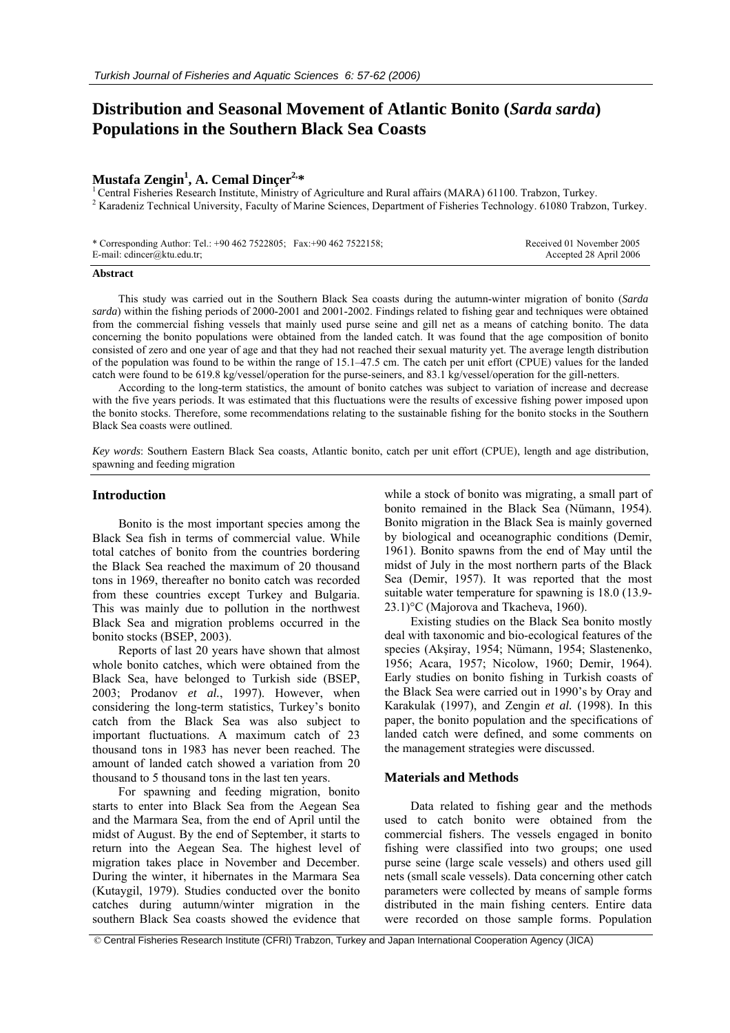# **Distribution and Seasonal Movement of Atlantic Bonito (***Sarda sarda***) Populations in the Southern Black Sea Coasts**

## Mustafa Zengin<sup>1</sup>, A. Cemal Dincer<sup>2,\*</sup>

<sup>1</sup> Central Fisheries Research Institute, Ministry of Agriculture and Rural affairs (MARA) 61100. Trabzon, Turkey. <sup>2</sup> Karadeniz Technical University, Faculty of Marine Sciences, Department of Fisheries Technology. 61080 Trabzon, Turkey.

| * Corresponding Author: Tel.: +90 462 7522805; Fax: +90 462 7522158; | Received 01 November 2005 |
|----------------------------------------------------------------------|---------------------------|
| E-mail: cdincer@ktu.edu.tr;                                          | Accepted 28 April 2006    |

## **Abstract**

This study was carried out in the Southern Black Sea coasts during the autumn-winter migration of bonito (*Sarda sarda*) within the fishing periods of 2000-2001 and 2001-2002. Findings related to fishing gear and techniques were obtained from the commercial fishing vessels that mainly used purse seine and gill net as a means of catching bonito. The data concerning the bonito populations were obtained from the landed catch. It was found that the age composition of bonito consisted of zero and one year of age and that they had not reached their sexual maturity yet. The average length distribution of the population was found to be within the range of 15.1–47.5 cm. The catch per unit effort (CPUE) values for the landed catch were found to be 619.8 kg/vessel/operation for the purse-seiners, and 83.1 kg/vessel/operation for the gill-netters.

According to the long-term statistics, the amount of bonito catches was subject to variation of increase and decrease with the five years periods. It was estimated that this fluctuations were the results of excessive fishing power imposed upon the bonito stocks. Therefore, some recommendations relating to the sustainable fishing for the bonito stocks in the Southern Black Sea coasts were outlined.

*Key words*: Southern Eastern Black Sea coasts, Atlantic bonito, catch per unit effort (CPUE), length and age distribution, spawning and feeding migration

## **Introduction**

Bonito is the most important species among the Black Sea fish in terms of commercial value. While total catches of bonito from the countries bordering the Black Sea reached the maximum of 20 thousand tons in 1969, thereafter no bonito catch was recorded from these countries except Turkey and Bulgaria. This was mainly due to pollution in the northwest Black Sea and migration problems occurred in the bonito stocks (BSEP, 2003).

Reports of last 20 years have shown that almost whole bonito catches, which were obtained from the Black Sea, have belonged to Turkish side (BSEP, 2003; Prodanov *et al.*, 1997). However, when considering the long-term statistics, Turkey's bonito catch from the Black Sea was also subject to important fluctuations. A maximum catch of 23 thousand tons in 1983 has never been reached. The amount of landed catch showed a variation from 20 thousand to 5 thousand tons in the last ten years.

For spawning and feeding migration, bonito starts to enter into Black Sea from the Aegean Sea and the Marmara Sea, from the end of April until the midst of August. By the end of September, it starts to return into the Aegean Sea. The highest level of migration takes place in November and December. During the winter, it hibernates in the Marmara Sea (Kutaygil, 1979). Studies conducted over the bonito catches during autumn/winter migration in the southern Black Sea coasts showed the evidence that

while a stock of bonito was migrating, a small part of bonito remained in the Black Sea (Nümann, 1954). Bonito migration in the Black Sea is mainly governed by biological and oceanographic conditions (Demir, 1961). Bonito spawns from the end of May until the midst of July in the most northern parts of the Black Sea (Demir, 1957). It was reported that the most suitable water temperature for spawning is 18.0 (13.9- 23.1)°C (Majorova and Tkacheva, 1960).

Existing studies on the Black Sea bonito mostly deal with taxonomic and bio-ecological features of the species (Akşiray, 1954; Nümann, 1954; Slastenenko, 1956; Acara, 1957; Nicolow, 1960; Demir, 1964). Early studies on bonito fishing in Turkish coasts of the Black Sea were carried out in 1990's by Oray and Karakulak (1997), and Zengin *et al.* (1998). In this paper, the bonito population and the specifications of landed catch were defined, and some comments on the management strategies were discussed.

## **Materials and Methods**

Data related to fishing gear and the methods used to catch bonito were obtained from the commercial fishers. The vessels engaged in bonito fishing were classified into two groups; one used purse seine (large scale vessels) and others used gill nets (small scale vessels). Data concerning other catch parameters were collected by means of sample forms distributed in the main fishing centers. Entire data were recorded on those sample forms. Population

© Central Fisheries Research Institute (CFRI) Trabzon, Turkey and Japan International Cooperation Agency (JICA)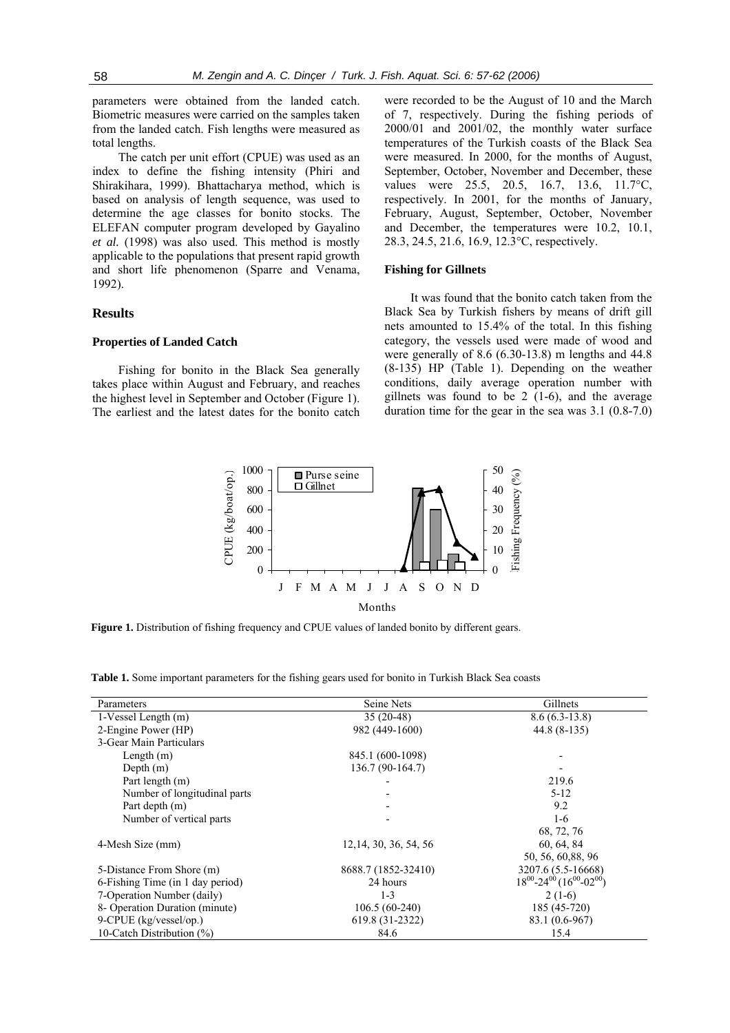parameters were obtained from the landed catch. Biometric measures were carried on the samples taken from the landed catch. Fish lengths were measured as total lengths.

The catch per unit effort (CPUE) was used as an index to define the fishing intensity (Phiri and Shirakihara, 1999). Bhattacharya method, which is based on analysis of length sequence, was used to determine the age classes for bonito stocks. The ELEFAN computer program developed by Gayalino *et al.* (1998) was also used. This method is mostly applicable to the populations that present rapid growth and short life phenomenon (Sparre and Venama, 1992).

## **Results**

## **Properties of Landed Catch**

Fishing for bonito in the Black Sea generally takes place within August and February, and reaches the highest level in September and October (Figure 1). The earliest and the latest dates for the bonito catch

were recorded to be the August of 10 and the March of 7, respectively. During the fishing periods of 2000/01 and 2001/02, the monthly water surface temperatures of the Turkish coasts of the Black Sea were measured. In 2000, for the months of August, September, October, November and December, these values were 25.5, 20.5, 16.7, 13.6, 11.7°C, respectively. In 2001, for the months of January, February, August, September, October, November and December, the temperatures were 10.2, 10.1, 28.3, 24.5, 21.6, 16.9, 12.3°C, respectively.

## **Fishing for Gillnets**

It was found that the bonito catch taken from the Black Sea by Turkish fishers by means of drift gill nets amounted to 15.4% of the total. In this fishing category, the vessels used were made of wood and were generally of 8.6 (6.30-13.8) m lengths and 44.8 (8-135) HP (Table 1). Depending on the weather conditions, daily average operation number with gillnets was found to be 2 (1-6), and the average duration time for the gear in the sea was 3.1 (0.8-7.0)



**Figure 1.** Distribution of fishing frequency and CPUE values of landed bonito by different gears.

| <b>Table 1.</b> Some important parameters for the fishing gears used for bonito in Turkish Black Sea coasts |  |
|-------------------------------------------------------------------------------------------------------------|--|
|                                                                                                             |  |

| 1000<br>CPUE (kg/boat/op.)<br>800<br>600<br>400<br>200<br>$\overline{0}$                                                                                                                                        | $\blacksquare$ Purse seine<br>$\Box$ Gillnet                                                                 | 50<br>Fishing Frequency (%)<br>40<br>30<br>20<br>10<br>$\theta$ |
|-----------------------------------------------------------------------------------------------------------------------------------------------------------------------------------------------------------------|--------------------------------------------------------------------------------------------------------------|-----------------------------------------------------------------|
| J                                                                                                                                                                                                               | S<br>$\mathbf{F}$<br>M A M<br>$\mathbf{J}$<br>J<br>$\mathbf{A}$<br>$\Omega$<br>$\mathbf N$<br>$\overline{D}$ |                                                                 |
|                                                                                                                                                                                                                 | Months                                                                                                       |                                                                 |
| <b>Figure 1.</b> Distribution of fishing frequency and CPUE values of landed bonito by different gears.<br>Table 1. Some important parameters for the fishing gears used for bonito in Turkish Black Sea coasts |                                                                                                              |                                                                 |
| Parameters                                                                                                                                                                                                      | Seine Nets                                                                                                   | Gillnets                                                        |
| 1-Vessel Length (m)                                                                                                                                                                                             | $35(20-48)$                                                                                                  | $8.6(6.3-13.8)$                                                 |
| 2-Engine Power (HP)                                                                                                                                                                                             | 982 (449-1600)                                                                                               | 44.8 (8-135)                                                    |
| 3-Gear Main Particulars                                                                                                                                                                                         |                                                                                                              |                                                                 |
| Length $(m)$                                                                                                                                                                                                    | 845.1 (600-1098)                                                                                             |                                                                 |
| Depth (m)                                                                                                                                                                                                       | 136.7 (90-164.7)                                                                                             |                                                                 |
| Part length (m)                                                                                                                                                                                                 |                                                                                                              | 219.6                                                           |
| Number of longitudinal parts                                                                                                                                                                                    |                                                                                                              | $5 - 12$                                                        |
| Part depth (m)                                                                                                                                                                                                  |                                                                                                              | 9.2                                                             |
| Number of vertical parts                                                                                                                                                                                        |                                                                                                              | $1-6$                                                           |
|                                                                                                                                                                                                                 |                                                                                                              | 68, 72, 76                                                      |
| 4-Mesh Size (mm)                                                                                                                                                                                                | 12, 14, 30, 36, 54, 56                                                                                       | 60, 64, 84                                                      |
|                                                                                                                                                                                                                 |                                                                                                              | 50, 56, 60, 88, 96                                              |
| 5-Distance From Shore (m)                                                                                                                                                                                       | 8688.7 (1852-32410)                                                                                          | 3207.6 (5.5-16668)                                              |
| 6-Fishing Time (in 1 day period)                                                                                                                                                                                | 24 hours                                                                                                     | $18^{00} - 24^{00} (16^{00} - 02^{00})$                         |
| 7-Operation Number (daily)                                                                                                                                                                                      | $1 - 3$                                                                                                      | $2(1-6)$                                                        |
| 8- Operation Duration (minute)                                                                                                                                                                                  | $106.5(60-240)$                                                                                              | 185 (45-720)                                                    |
| 9-CPUE (kg/vessel/op.)                                                                                                                                                                                          | 619.8 (31-2322)                                                                                              | 83.1 (0.6-967)                                                  |
| 10-Catch Distribution (%)                                                                                                                                                                                       | 84.6                                                                                                         | 15.4                                                            |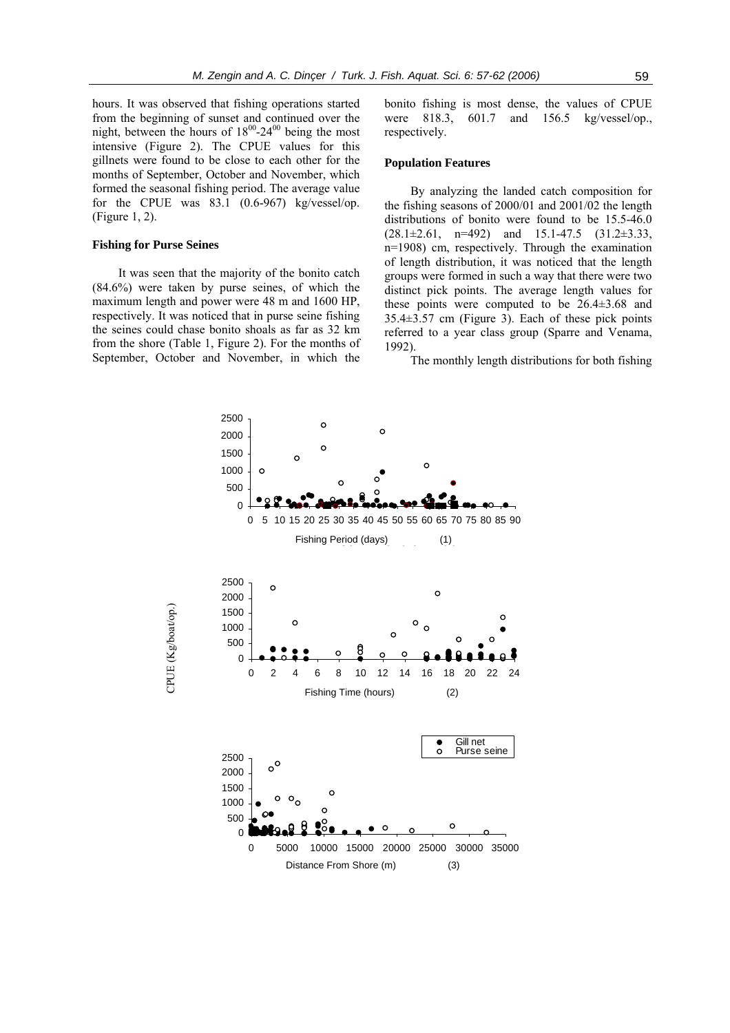hours. It was observed that fishing operations started from the beginning of sunset and continued over the night, between the hours of  $18^{00}$ -24 $^{00}$  being the most intensive (Figure 2). The CPUE values for this gillnets were found to be close to each other for the months of September, October and November, which formed the seasonal fishing period. The average value for the CPUE was 83.1 (0.6-967) kg/vessel/op. (Figure 1, 2).

## **Fishing for Purse Seines**

It was seen that the majority of the bonito catch (84.6%) were taken by purse seines, of which the maximum length and power were 48 m and 1600 HP, respectively. It was noticed that in purse seine fishing the seines could chase bonito shoals as far as 32 km from the shore (Table 1, Figure 2). For the months of September, October and November, in which the

bonito fishing is most dense, the values of CPUE were 818.3, 601.7 and 156.5 kg/vessel/op., respectively.

## **Population Features**

By analyzing the landed catch composition for the fishing seasons of 2000/01 and 2001/02 the length distributions of bonito were found to be 15.5-46.0  $(28.1 \pm 2.61, n=492)$  and  $15.1-47.5$   $(31.2 \pm 3.33,$ n=1908) cm, respectively. Through the examination of length distribution, it was noticed that the length groups were formed in such a way that there were two distinct pick points. The average length values for these points were computed to be  $26.4\pm3.68$  and 35.4±3.57 cm (Figure 3). Each of these pick points referred to a year class group (Sparre and Venama, 1992).

The monthly length distributions for both fishing

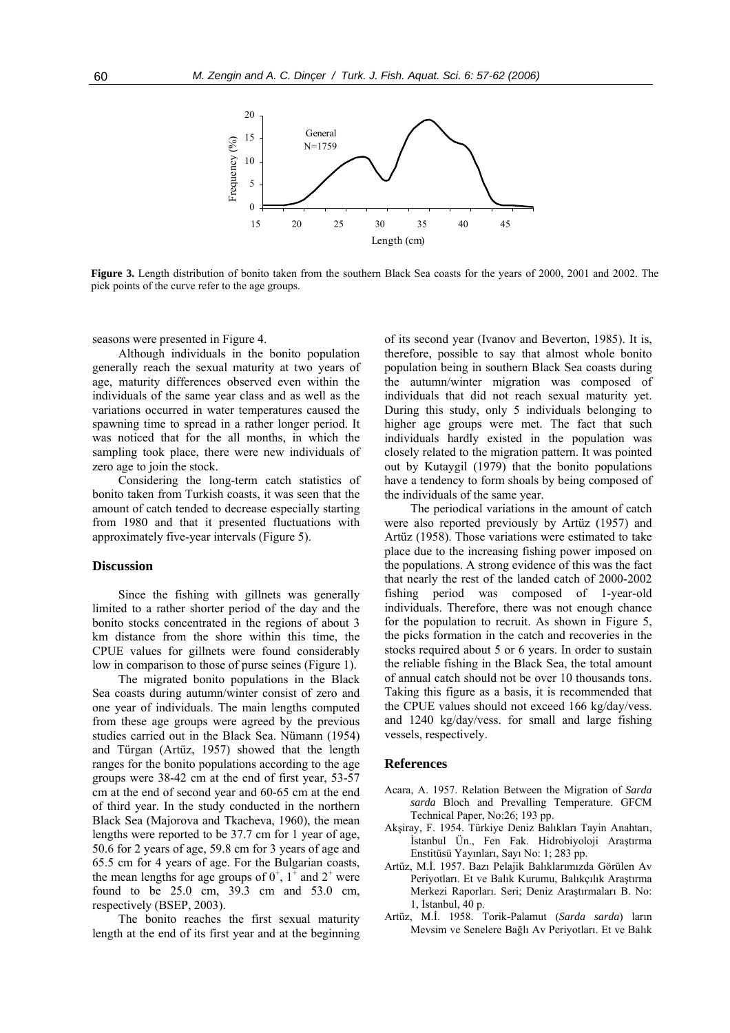

**Figure 3.** Length distribution of bonito taken from the southern Black Sea coasts for the years of 2000, 2001 and 2002. The pick points of the curve refer to the age groups.

seasons were presented in Figure 4.

Although individuals in the bonito population generally reach the sexual maturity at two years of age, maturity differences observed even within the individuals of the same year class and as well as the variations occurred in water temperatures caused the spawning time to spread in a rather longer period. It was noticed that for the all months, in which the sampling took place, there were new individuals of zero age to join the stock.

Considering the long-term catch statistics of bonito taken from Turkish coasts, it was seen that the amount of catch tended to decrease especially starting from 1980 and that it presented fluctuations with approximately five-year intervals (Figure 5).

#### **Discussion**

Since the fishing with gillnets was generally limited to a rather shorter period of the day and the bonito stocks concentrated in the regions of about 3 km distance from the shore within this time, the CPUE values for gillnets were found considerably low in comparison to those of purse seines (Figure 1).

The migrated bonito populations in the Black Sea coasts during autumn/winter consist of zero and one year of individuals. The main lengths computed from these age groups were agreed by the previous studies carried out in the Black Sea. Nümann (1954) and Türgan (Artüz, 1957) showed that the length ranges for the bonito populations according to the age groups were 38-42 cm at the end of first year, 53-57 cm at the end of second year and 60-65 cm at the end of third year. In the study conducted in the northern Black Sea (Majorova and Tkacheva, 1960), the mean lengths were reported to be 37.7 cm for 1 year of age, 50.6 for 2 years of age, 59.8 cm for 3 years of age and 65.5 cm for 4 years of age. For the Bulgarian coasts, the mean lengths for age groups of  $0^+$ ,  $1^+$  and  $2^+$  were found to be 25.0 cm, 39.3 cm and 53.0 cm, respectively (BSEP, 2003).

The bonito reaches the first sexual maturity length at the end of its first year and at the beginning of its second year (Ivanov and Beverton, 1985). It is, therefore, possible to say that almost whole bonito population being in southern Black Sea coasts during the autumn/winter migration was composed of individuals that did not reach sexual maturity yet. During this study, only 5 individuals belonging to higher age groups were met. The fact that such individuals hardly existed in the population was closely related to the migration pattern. It was pointed out by Kutaygil (1979) that the bonito populations have a tendency to form shoals by being composed of the individuals of the same year.

The periodical variations in the amount of catch were also reported previously by Artüz (1957) and Artüz (1958). Those variations were estimated to take place due to the increasing fishing power imposed on the populations. A strong evidence of this was the fact that nearly the rest of the landed catch of 2000-2002 fishing period was composed of 1-year-old individuals. Therefore, there was not enough chance for the population to recruit. As shown in Figure 5, the picks formation in the catch and recoveries in the stocks required about 5 or 6 years. In order to sustain the reliable fishing in the Black Sea, the total amount of annual catch should not be over 10 thousands tons. Taking this figure as a basis, it is recommended that the CPUE values should not exceed 166 kg/day/vess. and 1240 kg/day/vess. for small and large fishing vessels, respectively.

## **References**

- Acara, A. 1957. Relation Between the Migration of *Sarda sarda* Bloch and Prevalling Temperature. GFCM Technical Paper, No:26; 193 pp.
- Akşiray, F. 1954. Türkiye Deniz Balıkları Tayin Anahtarı, İstanbul Ün., Fen Fak. Hidrobiyoloji Araştırma Enstitüsü Yayınları, Sayı No: 1; 283 pp.
- Artüz, M.İ. 1957. Bazı Pelajik Balıklarımızda Görülen Av Periyotları. Et ve Balık Kurumu, Balıkçılık Araştırma Merkezi Raporları. Seri; Deniz Araştırmaları B. No: 1, İstanbul, 40 p.
- Artüz, M.İ. 1958. Torik-Palamut (*Sarda sarda*) ların Mevsim ve Senelere Bağlı Av Periyotları. Et ve Balık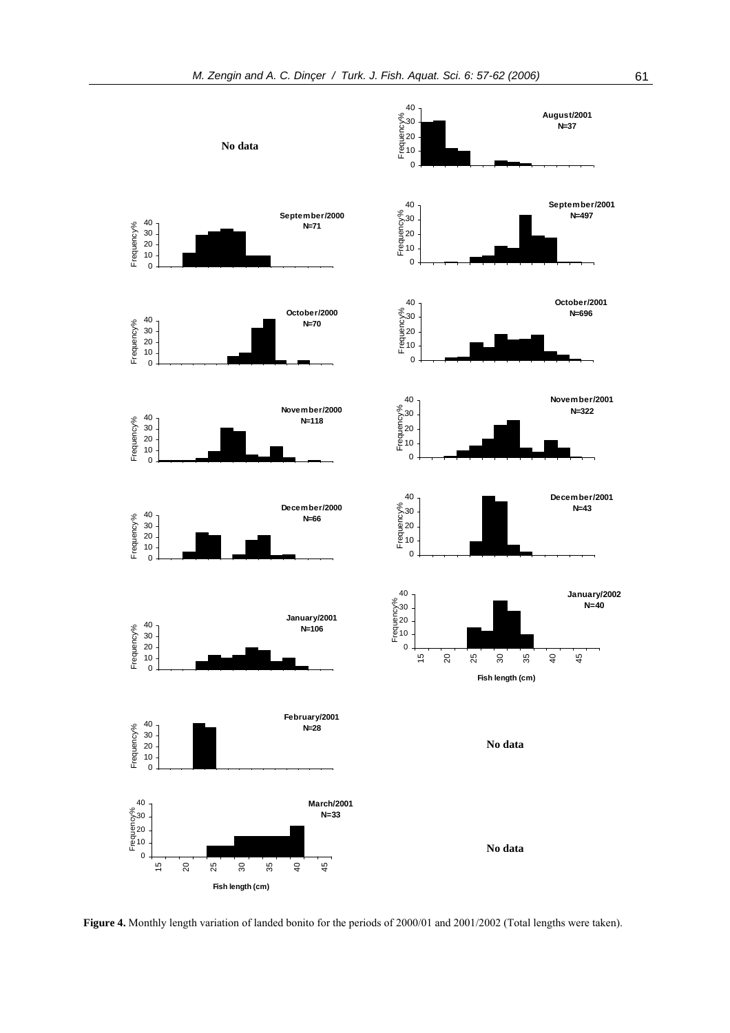

**Figure 4.** Monthly length variation of landed bonito for the periods of 2000/01 and 2001/2002 (Total lengths were taken).